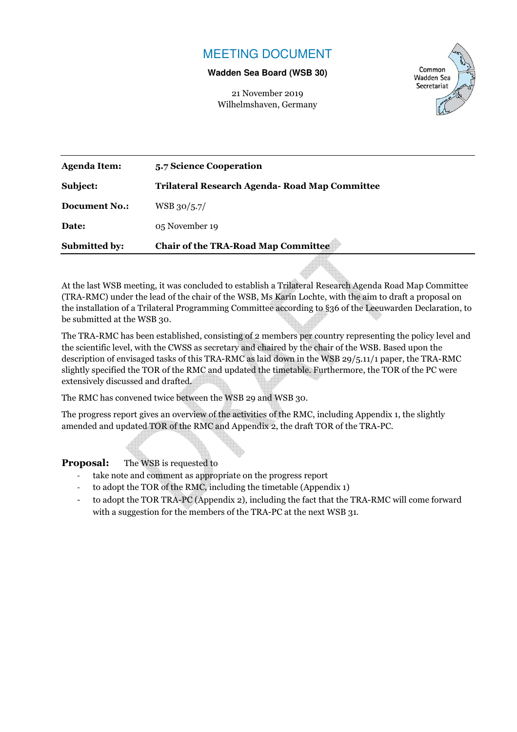## MEETING DOCUMENT

#### **Wadden Sea Board (WSB 30)**

21 November 2019 Wilhelmshaven, Germany



| <b>Submitted by:</b> | <b>Chair of the TRA-Road Map Committee</b>     |  |
|----------------------|------------------------------------------------|--|
| Date:                | 05 November 19                                 |  |
| Document No.:        | WSB 30/5.7/                                    |  |
| Subject:             | Trilateral Research Agenda- Road Map Committee |  |
| Agenda Item:         | 5.7 Science Cooperation                        |  |

At the last WSB meeting, it was concluded to establish a Trilateral Research Agenda Road Map Committee (TRA-RMC) under the lead of the chair of the WSB, Ms Karin Lochte, with the aim to draft a proposal on the installation of a Trilateral Programming Committee according to §36 of the Leeuwarden Declaration, to be submitted at the WSB 30.

The TRA-RMC has been established, consisting of 2 members per country representing the policy level and the scientific level, with the CWSS as secretary and chaired by the chair of the WSB. Based upon the description of envisaged tasks of this TRA-RMC as laid down in the WSB 29/5.11/1 paper, the TRA-RMC slightly specified the TOR of the RMC and updated the timetable. Furthermore, the TOR of the PC were extensively discussed and drafted.

The RMC has convened twice between the WSB 29 and WSB 30.

The progress report gives an overview of the activities of the RMC, including Appendix 1, the slightly amended and updated TOR of the RMC and Appendix 2, the draft TOR of the TRA-PC.

**Proposal:** The WSB is requested to

- take note and comment as appropriate on the progress report
- to adopt the TOR of the RMC, including the timetable (Appendix 1)
- to adopt the TOR TRA-PC (Appendix 2), including the fact that the TRA-RMC will come forward with a suggestion for the members of the TRA-PC at the next WSB 31*.*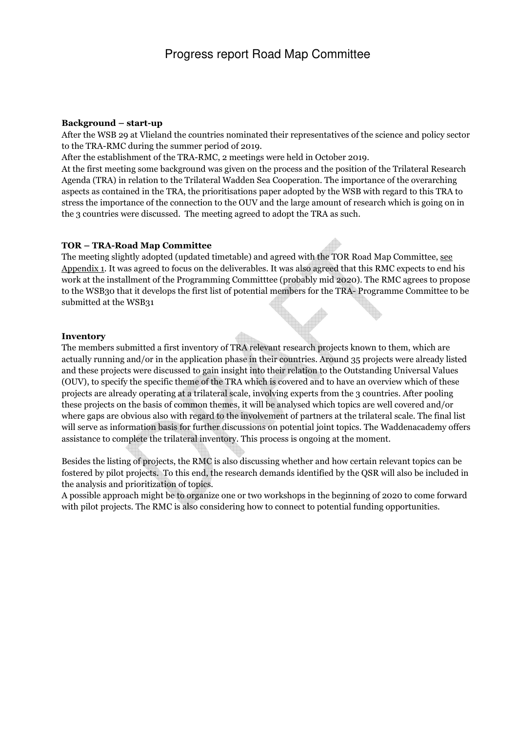#### **Background – start-up**

After the WSB 29 at Vlieland the countries nominated their representatives of the science and policy sector to the TRA-RMC during the summer period of 2019.

After the establishment of the TRA-RMC, 2 meetings were held in October 2019.

At the first meeting some background was given on the process and the position of the Trilateral Research Agenda (TRA) in relation to the Trilateral Wadden Sea Cooperation. The importance of the overarching aspects as contained in the TRA, the prioritisations paper adopted by the WSB with regard to this TRA to stress the importance of the connection to the OUV and the large amount of research which is going on in the 3 countries were discussed. The meeting agreed to adopt the TRA as such.

## **TOR – TRA-Road Map Committee**

The meeting slightly adopted (updated timetable) and agreed with the TOR Road Map Committee, see Appendix 1. It was agreed to focus on the deliverables. It was also agreed that this RMC expects to end his work at the installment of the Programming Committtee (probably mid 2020). The RMC agrees to propose to the WSB30 that it develops the first list of potential members for the TRA- Programme Committee to be submitted at the WSB31

#### **Inventory**

The members submitted a first inventory of TRA relevant research projects known to them, which are actually running and/or in the application phase in their countries. Around 35 projects were already listed and these projects were discussed to gain insight into their relation to the Outstanding Universal Values (OUV), to specify the specific theme of the TRA which is covered and to have an overview which of these projects are already operating at a trilateral scale, involving experts from the 3 countries. After pooling these projects on the basis of common themes, it will be analysed which topics are well covered and/or where gaps are obvious also with regard to the involvement of partners at the trilateral scale. The final list will serve as information basis for further discussions on potential joint topics. The Waddenacademy offers assistance to complete the trilateral inventory. This process is ongoing at the moment.

Besides the listing of projects, the RMC is also discussing whether and how certain relevant topics can be fostered by pilot projects. To this end, the research demands identified by the QSR will also be included in the analysis and prioritization of topics.

A possible approach might be to organize one or two workshops in the beginning of 2020 to come forward with pilot projects. The RMC is also considering how to connect to potential funding opportunities.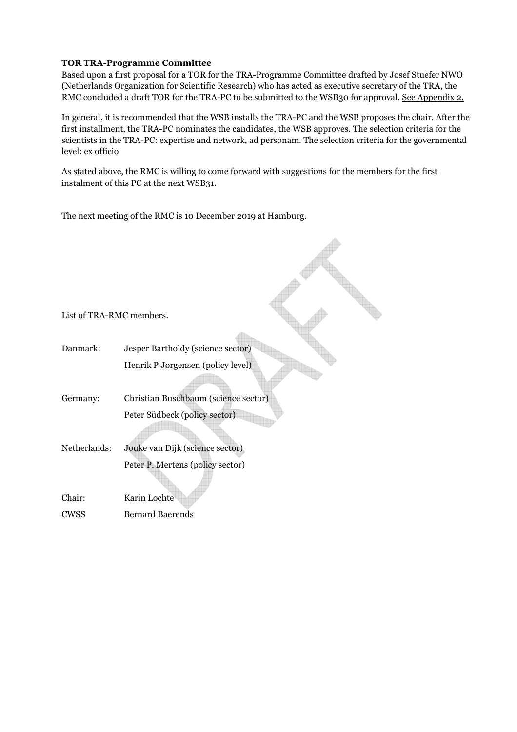#### **TOR TRA-Programme Committee**

Based upon a first proposal for a TOR for the TRA-Programme Committee drafted by Josef Stuefer NWO (Netherlands Organization for Scientific Research) who has acted as executive secretary of the TRA, the RMC concluded a draft TOR for the TRA-PC to be submitted to the WSB30 for approval. See Appendix 2.

In general, it is recommended that the WSB installs the TRA-PC and the WSB proposes the chair. After the first installment, the TRA-PC nominates the candidates, the WSB approves. The selection criteria for the scientists in the TRA-PC: expertise and network, ad personam. The selection criteria for the governmental level: ex officio

 $\triangle$ 

As stated above, the RMC is willing to come forward with suggestions for the members for the first instalment of this PC at the next WSB31.

The next meeting of the RMC is 10 December 2019 at Hamburg.

| List of TRA-RMC members. |                                      |
|--------------------------|--------------------------------------|
|                          |                                      |
| Danmark:                 | Jesper Bartholdy (science sector)    |
|                          | Henrik P Jørgensen (policy level)    |
|                          |                                      |
| Germany:                 | Christian Buschbaum (science sector) |
|                          | Peter Südbeck (policy sector)        |
|                          |                                      |
| Netherlands:             | Jouke van Dijk (science sector)      |
|                          | Peter P. Mertens (policy sector)     |
|                          |                                      |
| Chair:                   | Karin Lochte                         |
| <b>CWSS</b>              | <b>Bernard Baerends</b>              |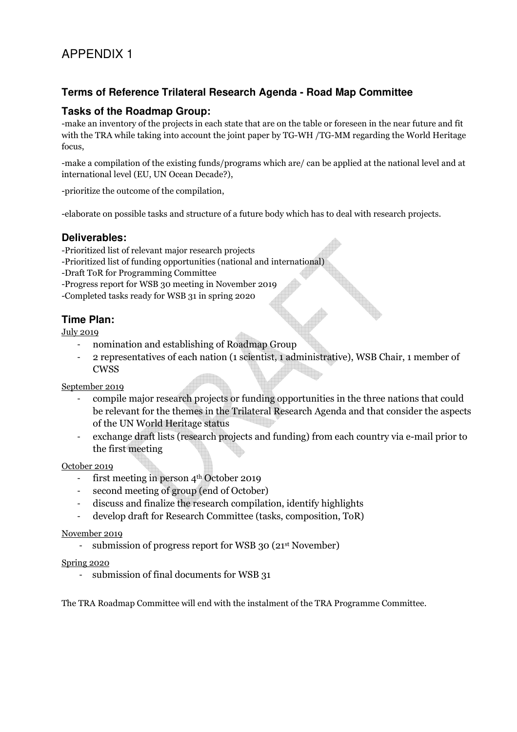## **Terms of Reference Trilateral Research Agenda - Road Map Committee**

## **Tasks of the Roadmap Group:**

-make an inventory of the projects in each state that are on the table or foreseen in the near future and fit with the TRA while taking into account the joint paper by TG-WH /TG-MM regarding the World Heritage focus,

-make a compilation of the existing funds/programs which are/ can be applied at the national level and at international level (EU, UN Ocean Decade?),

-prioritize the outcome of the compilation,

-elaborate on possible tasks and structure of a future body which has to deal with research projects.

## **Deliverables:**

- -Prioritized list of relevant major research projects
- -Prioritized list of funding opportunities (national and international)
- -Draft ToR for Programming Committee
- -Progress report for WSB 30 meeting in November 2019
- -Completed tasks ready for WSB 31 in spring 2020

## **Time Plan:**

July 2019

- nomination and establishing of Roadmap Group
- 2 representatives of each nation (1 scientist, 1 administrative), WSB Chair, 1 member of CWSS

September 2019

- compile major research projects or funding opportunities in the three nations that could be relevant for the themes in the Trilateral Research Agenda and that consider the aspects of the UN World Heritage status
- exchange draft lists (research projects and funding) from each country via e-mail prior to the first meeting

## October 2019

- first meeting in person  $4<sup>th</sup>$  October 2019
- second meeting of group (end of October)
- discuss and finalize the research compilation, identify highlights
- develop draft for Research Committee (tasks, composition, ToR)

## November 2019

- submission of progress report for WSB 30 (21<sup>st</sup> November)

#### Spring 2020

- submission of final documents for WSB 31

The TRA Roadmap Committee will end with the instalment of the TRA Programme Committee.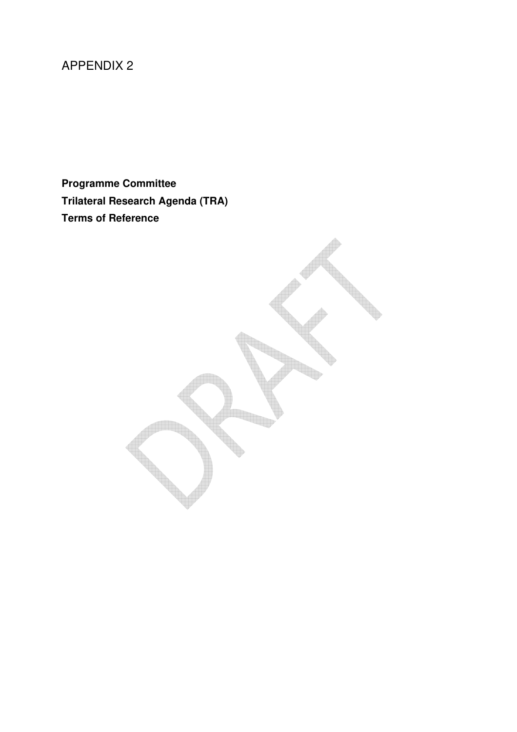# APPENDIX 2

**Programme Committee Trilateral Research Agenda (TRA) Terms of Reference** 

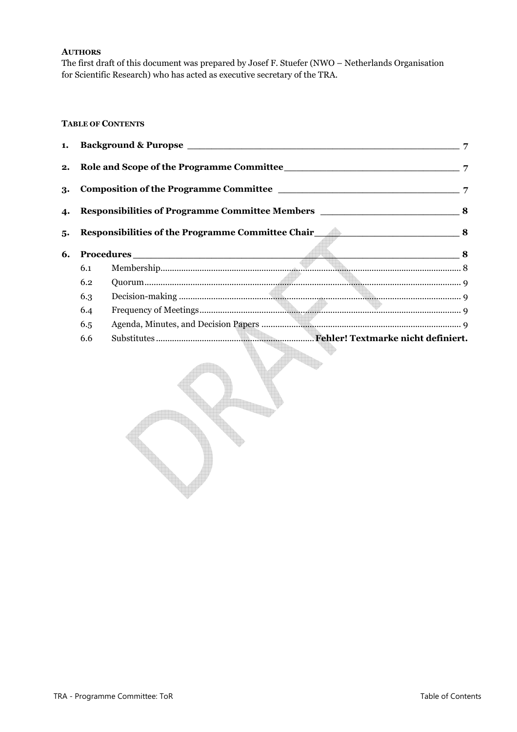#### **AUTHORS**

The first draft of this document was prepared by Josef F. Stuefer (NWO – Netherlands Organisation for Scientific Research) who has acted as executive secretary of the TRA.

## **TABLE OF CONTENTS**

|    | 3.<br>4. Responsibilities of Programme Committee Members __________________________________8<br>Responsibilities of the Programme Committee Chair 2008 8 |              |  |
|----|----------------------------------------------------------------------------------------------------------------------------------------------------------|--------------|--|
|    |                                                                                                                                                          |              |  |
| 5. |                                                                                                                                                          |              |  |
| 6. |                                                                                                                                                          | Procedures 8 |  |
|    | 6.1                                                                                                                                                      |              |  |
|    | 6.2                                                                                                                                                      |              |  |
|    | 6.3                                                                                                                                                      |              |  |
|    | 6.4                                                                                                                                                      |              |  |
|    | 6.5                                                                                                                                                      |              |  |
|    |                                                                                                                                                          |              |  |
|    | 6.6                                                                                                                                                      |              |  |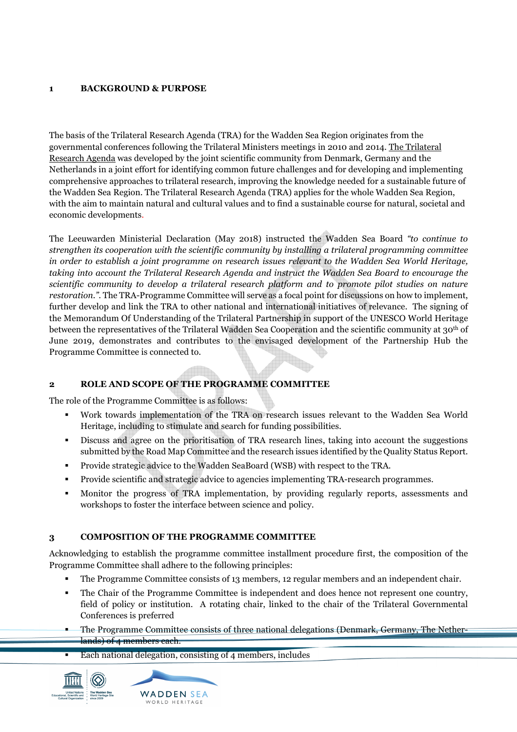## **1 BACKGROUND & PURPOSE**

The basis of the Trilateral Research Agenda (TRA) for the Wadden Sea Region originates from the governmental conferences following the Trilateral Ministers meetings in 2010 and 2014. The Trilateral Research Agenda was developed by the joint scientific community from Denmark, Germany and the Netherlands in a joint effort for identifying common future challenges and for developing and implementing comprehensive approaches to trilateral research, improving the knowledge needed for a sustainable future of the Wadden Sea Region. The Trilateral Research Agenda (TRA) applies for the whole Wadden Sea Region, with the aim to maintain natural and cultural values and to find a sustainable course for natural, societal and economic developments.

The Leeuwarden Ministerial Declaration (May 2018) instructed the Wadden Sea Board *"to continue to strengthen its cooperation with the scientific community by installing a trilateral programming committee in order to establish a joint programme on research issues relevant to the Wadden Sea World Heritage, taking into account the Trilateral Research Agenda and instruct the Wadden Sea Board to encourage the scientific community to develop a trilateral research platform and to promote pilot studies on nature restoration.*". The TRA-Programme Committee will serve as a focal point for discussions on how to implement, further develop and link the TRA to other national and international initiatives of relevance. The signing of the Memorandum Of Understanding of the Trilateral Partnership in support of the UNESCO World Heritage between the representatives of the Trilateral Wadden Sea Cooperation and the scientific community at 30th of June 2019, demonstrates and contributes to the envisaged development of the Partnership Hub the Programme Committee is connected to.

## **2 ROLE AND SCOPE OF THE PROGRAMME COMMITTEE**

The role of the Programme Committee is as follows:

- Work towards implementation of the TRA on research issues relevant to the Wadden Sea World Heritage, including to stimulate and search for funding possibilities.
- Discuss and agree on the prioritisation of TRA research lines, taking into account the suggestions submitted by the Road Map Committee and the research issues identified by the Quality Status Report.
- Provide strategic advice to the Wadden SeaBoard (WSB) with respect to the TRA.
- **Provide scientific and strategic advice to agencies implementing TRA-research programmes.**
- Monitor the progress of TRA implementation, by providing regularly reports, assessments and workshops to foster the interface between science and policy.

## **3 COMPOSITION OF THE PROGRAMME COMMITTEE**

Acknowledging to establish the programme committee installment procedure first, the composition of the Programme Committee shall adhere to the following principles:

- The Programme Committee consists of 13 members, 12 regular members and an independent chair.
- The Chair of the Programme Committee is independent and does hence not represent one country, field of policy or institution. A rotating chair, linked to the chair of the Trilateral Governmental Conferences is preferred
- The Programme Committee consists of three national delegations (Denmark, Germany, The Netherlands) of 4 members each.
- Each national delegation, consisting of 4 members, includes



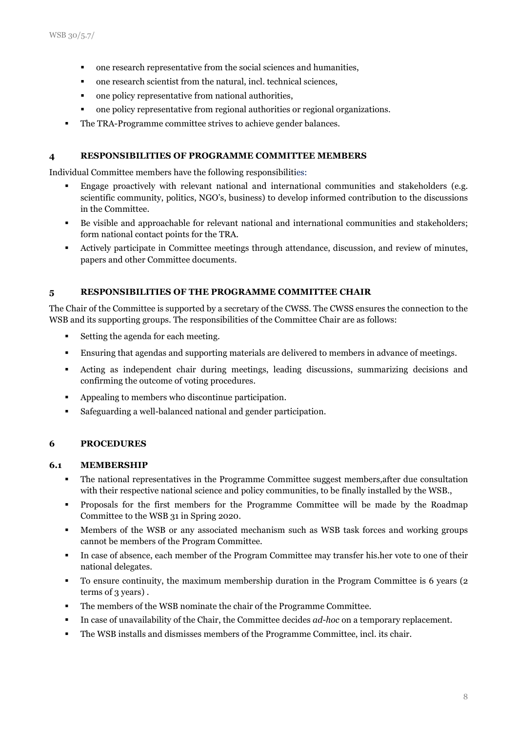- one research representative from the social sciences and humanities,
- one research scientist from the natural, incl. technical sciences,
- one policy representative from national authorities,
- one policy representative from regional authorities or regional organizations.
- The TRA-Programme committee strives to achieve gender balances.

#### **4 RESPONSIBILITIES OF PROGRAMME COMMITTEE MEMBERS**

Individual Committee members have the following responsibilities:

- Engage proactively with relevant national and international communities and stakeholders (e.g. scientific community, politics, NGO's, business) to develop informed contribution to the discussions in the Committee.
- Be visible and approachable for relevant national and international communities and stakeholders; form national contact points for the TRA.
- Actively participate in Committee meetings through attendance, discussion, and review of minutes, papers and other Committee documents.

#### **5 RESPONSIBILITIES OF THE PROGRAMME COMMITTEE CHAIR**

The Chair of the Committee is supported by a secretary of the CWSS. The CWSS ensures the connection to the WSB and its supporting groups. The responsibilities of the Committee Chair are as follows:

- Setting the agenda for each meeting.
- Ensuring that agendas and supporting materials are delivered to members in advance of meetings.
- Acting as independent chair during meetings, leading discussions, summarizing decisions and confirming the outcome of voting procedures.
- Appealing to members who discontinue participation.
- Safeguarding a well-balanced national and gender participation.

#### **6 PROCEDURES**

#### **6.1 MEMBERSHIP**

- The national representatives in the Programme Committee suggest members,after due consultation with their respective national science and policy communities, to be finally installed by the WSB.,
- Proposals for the first members for the Programme Committee will be made by the Roadmap Committee to the WSB 31 in Spring 2020.
- Members of the WSB or any associated mechanism such as WSB task forces and working groups cannot be members of the Program Committee.
- In case of absence, each member of the Program Committee may transfer his.her vote to one of their national delegates.
- To ensure continuity, the maximum membership duration in the Program Committee is 6 years (2 terms of 3 years) .
- The members of the WSB nominate the chair of the Programme Committee.
- In case of unavailability of the Chair, the Committee decides *ad-hoc* on a temporary replacement.
- The WSB installs and dismisses members of the Programme Committee, incl. its chair.